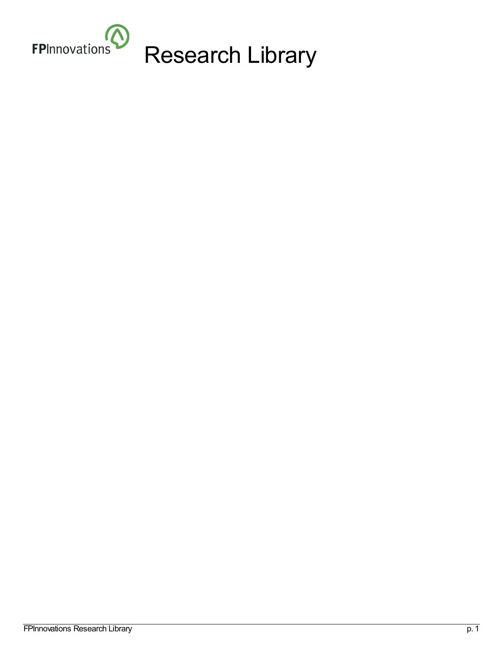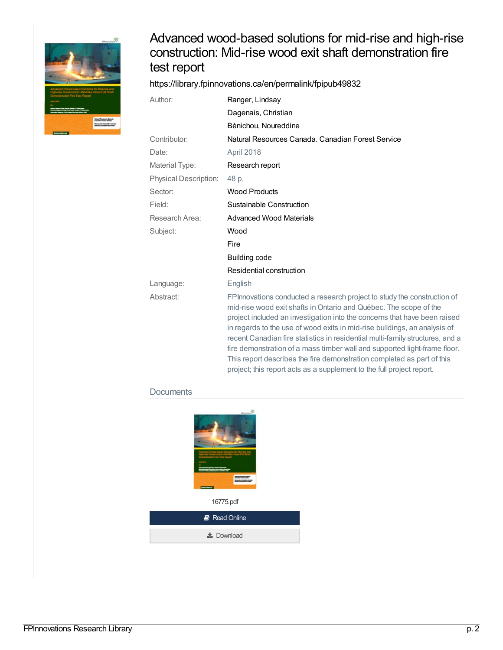

# Advanced wood-based solutions for mid-rise and high-rise construction: Mid-rise wood exit shaft demonstration fire test report

## <https://library.fpinnovations.ca/en/permalink/fpipub49832>

| Author:                      | Ranger, Lindsay                                                                                                                                                                                                                                                                                                                                                                                                                                                                                                                                                                                                         |
|------------------------------|-------------------------------------------------------------------------------------------------------------------------------------------------------------------------------------------------------------------------------------------------------------------------------------------------------------------------------------------------------------------------------------------------------------------------------------------------------------------------------------------------------------------------------------------------------------------------------------------------------------------------|
|                              | Dagenais, Christian                                                                                                                                                                                                                                                                                                                                                                                                                                                                                                                                                                                                     |
|                              | Bénichou, Noureddine                                                                                                                                                                                                                                                                                                                                                                                                                                                                                                                                                                                                    |
| Contributor:                 | Natural Resources Canada. Canadian Forest Service                                                                                                                                                                                                                                                                                                                                                                                                                                                                                                                                                                       |
| Date:                        | April 2018                                                                                                                                                                                                                                                                                                                                                                                                                                                                                                                                                                                                              |
| Material Type:               | Research report                                                                                                                                                                                                                                                                                                                                                                                                                                                                                                                                                                                                         |
| <b>Physical Description:</b> | 48 p.                                                                                                                                                                                                                                                                                                                                                                                                                                                                                                                                                                                                                   |
| Sector:                      | <b>Wood Products</b>                                                                                                                                                                                                                                                                                                                                                                                                                                                                                                                                                                                                    |
| Field:                       | Sustainable Construction                                                                                                                                                                                                                                                                                                                                                                                                                                                                                                                                                                                                |
| Research Area:               | <b>Advanced Wood Materials</b>                                                                                                                                                                                                                                                                                                                                                                                                                                                                                                                                                                                          |
| Subject:                     | Wood                                                                                                                                                                                                                                                                                                                                                                                                                                                                                                                                                                                                                    |
|                              | Fire                                                                                                                                                                                                                                                                                                                                                                                                                                                                                                                                                                                                                    |
|                              | <b>Building code</b>                                                                                                                                                                                                                                                                                                                                                                                                                                                                                                                                                                                                    |
|                              | Residential construction                                                                                                                                                                                                                                                                                                                                                                                                                                                                                                                                                                                                |
| Language:                    | English                                                                                                                                                                                                                                                                                                                                                                                                                                                                                                                                                                                                                 |
| Abstract:                    | FPInnovations conducted a research project to study the construction of<br>mid-rise wood exit shafts in Ontario and Québec. The scope of the<br>project included an investigation into the concerns that have been raised<br>in regards to the use of wood exits in mid-rise buildings, an analysis of<br>recent Canadian fire statistics in residential multi-family structures, and a<br>fire demonstration of a mass timber wall and supported light-frame floor.<br>This report describes the fire demonstration completed as part of this<br>project; this report acts as a supplement to the full project report. |

#### **Documents**



16775.pdf

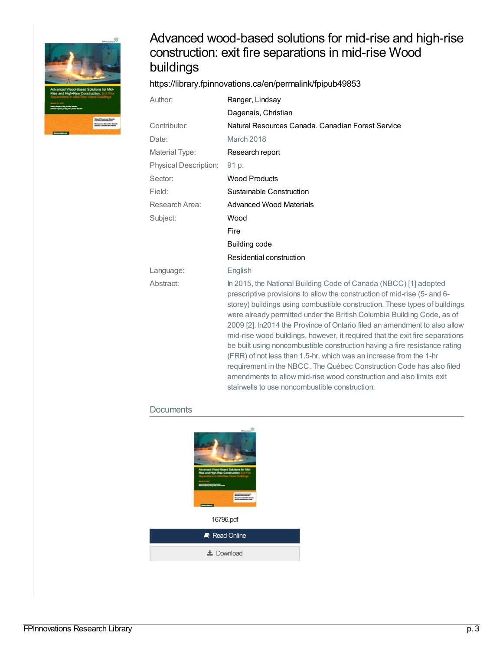

# Advanced wood-based solutions for mid-rise and high-rise construction: exit fire separations in mid-rise Wood buildings

## <https://library.fpinnovations.ca/en/permalink/fpipub49853>

| Author:                      | Ranger, Lindsay                                                                                                                                                                                                                                                                                                                                                                                                                                                                                                                                                                                                                                                                                                                                                                                                        |
|------------------------------|------------------------------------------------------------------------------------------------------------------------------------------------------------------------------------------------------------------------------------------------------------------------------------------------------------------------------------------------------------------------------------------------------------------------------------------------------------------------------------------------------------------------------------------------------------------------------------------------------------------------------------------------------------------------------------------------------------------------------------------------------------------------------------------------------------------------|
|                              | Dagenais, Christian                                                                                                                                                                                                                                                                                                                                                                                                                                                                                                                                                                                                                                                                                                                                                                                                    |
| Contributor:                 | Natural Resources Canada, Canadian Forest Service                                                                                                                                                                                                                                                                                                                                                                                                                                                                                                                                                                                                                                                                                                                                                                      |
| Date:                        | March 2018                                                                                                                                                                                                                                                                                                                                                                                                                                                                                                                                                                                                                                                                                                                                                                                                             |
| Material Type:               | Research report                                                                                                                                                                                                                                                                                                                                                                                                                                                                                                                                                                                                                                                                                                                                                                                                        |
| <b>Physical Description:</b> | 91 p.                                                                                                                                                                                                                                                                                                                                                                                                                                                                                                                                                                                                                                                                                                                                                                                                                  |
| Sector:                      | <b>Wood Products</b>                                                                                                                                                                                                                                                                                                                                                                                                                                                                                                                                                                                                                                                                                                                                                                                                   |
| Field:                       | Sustainable Construction                                                                                                                                                                                                                                                                                                                                                                                                                                                                                                                                                                                                                                                                                                                                                                                               |
| Research Area:               | <b>Advanced Wood Materials</b>                                                                                                                                                                                                                                                                                                                                                                                                                                                                                                                                                                                                                                                                                                                                                                                         |
| Subject:                     | Wood                                                                                                                                                                                                                                                                                                                                                                                                                                                                                                                                                                                                                                                                                                                                                                                                                   |
|                              | Fire                                                                                                                                                                                                                                                                                                                                                                                                                                                                                                                                                                                                                                                                                                                                                                                                                   |
|                              | <b>Building code</b>                                                                                                                                                                                                                                                                                                                                                                                                                                                                                                                                                                                                                                                                                                                                                                                                   |
|                              | Residential construction                                                                                                                                                                                                                                                                                                                                                                                                                                                                                                                                                                                                                                                                                                                                                                                               |
| Language:                    | English                                                                                                                                                                                                                                                                                                                                                                                                                                                                                                                                                                                                                                                                                                                                                                                                                |
| Abstract:                    | In 2015, the National Building Code of Canada (NBCC) [1] adopted<br>prescriptive provisions to allow the construction of mid-rise (5- and 6-<br>storey) buildings using combustible construction. These types of buildings<br>were already permitted under the British Columbia Building Code, as of<br>2009 [2]. In2014 the Province of Ontario filed an amendment to also allow<br>mid-rise wood buildings, however, it required that the exit fire separations<br>be built using noncombustible construction having a fire resistance rating<br>(FRR) of not less than 1.5-hr, which was an increase from the 1-hr<br>requirement in the NBCC. The Québec Construction Code has also filed<br>amendments to allow mid-rise wood construction and also limits exit<br>stairwells to use noncombustible construction. |

#### **Documents**



16796.pdf